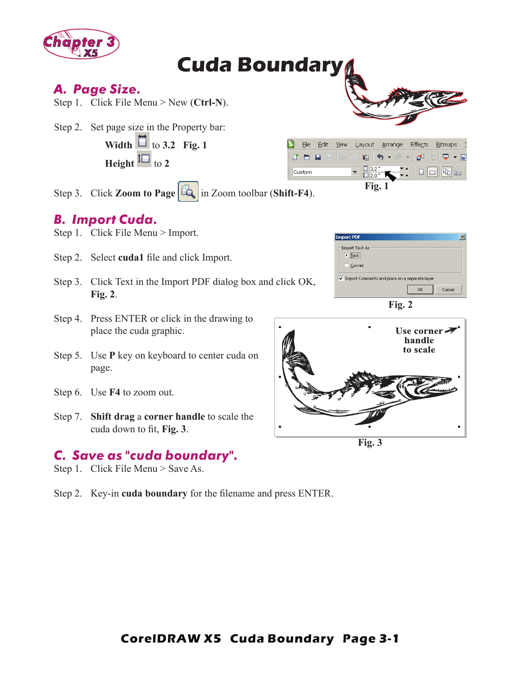

# **Cuda Boundary**

#### *A. Page Size.*

Step 1. Click File Menu > New (**Ctrl-N**).

Step 2. Set page size in the Property bar:

**Width**  $\Box$  to 3.2 Fig. 1 **Height**  $\boxed{\phantom{1}}$  to 2

|  | File                                   | Edit | <b>View</b> | Layout Arrange Effects |  |  |  | Bitmaps |  |
|--|----------------------------------------|------|-------------|------------------------|--|--|--|---------|--|
|  |                                        |      |             |                        |  |  |  |         |  |
|  | Custom                                 |      |             |                        |  |  |  |         |  |
|  | $\mathbf{e}$ $\mathbf{E}$ $\mathbf{A}$ |      |             | Fig. 1                 |  |  |  |         |  |

**Import PDF** 

Step 3. Click **Zoom to Page**  $\boxed{4}$  in Zoom toolbar (**Shift-F4**).

# *B. Import Cuda.*

- Step 1. Click File Menu > Import.
- Step 2. Select **cuda1** file and click Import.
- Step 3. Click Text in the Import PDF dialog box and click OK, **Fig. 2**.
- Step 4. Press ENTER or click in the drawing to place the cuda graphic.
- Step 5. Use **P** key on keyboard to center cuda on page.
- Step 6. Use **F4** to zoom out.
- Step 7. **Shift drag** a **corner handle** to scale the cuda down to fit, Fig. 3.

## *C. Save as "cuda boundary".*

- Step 1. Click File Menu > Save As.
- Step 2. Key-in **cuda boundary** for the filename and press ENTER.

| -Import Text As<br>$\bullet$ Text<br>C Curves |  |  |  |  |  |  |  |  |
|-----------------------------------------------|--|--|--|--|--|--|--|--|
| Import Comments and place on a separate layer |  |  |  |  |  |  |  |  |
| Cancel<br>OK                                  |  |  |  |  |  |  |  |  |
| Fig. 2                                        |  |  |  |  |  |  |  |  |

 $\vert x \vert$ 



**Fig. 3**